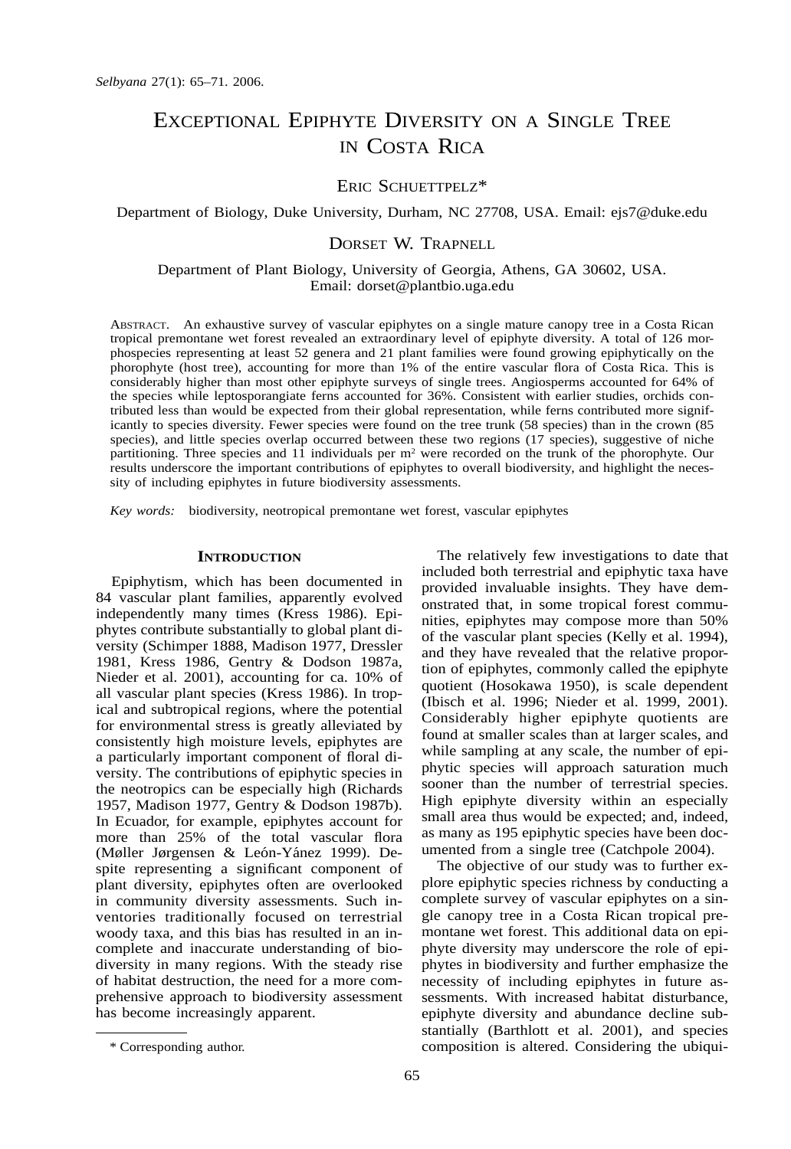# EXCEPTIONAL EPIPHYTE DIVERSITY ON A SINGLE TREE IN COSTA RICA

## ERIC SCHUETTPELZ\*

Department of Biology, Duke University, Durham, NC 27708, USA. Email: ejs7@duke.edu

## DORSET W. TRAPNELL

Department of Plant Biology, University of Georgia, Athens, GA 30602, USA. Email: dorset@plantbio.uga.edu

ABSTRACT. An exhaustive survey of vascular epiphytes on a single mature canopy tree in a Costa Rican tropical premontane wet forest revealed an extraordinary level of epiphyte diversity. A total of 126 morphospecies representing at least 52 genera and 21 plant families were found growing epiphytically on the phorophyte (host tree), accounting for more than 1% of the entire vascular flora of Costa Rica. This is considerably higher than most other epiphyte surveys of single trees. Angiosperms accounted for 64% of the species while leptosporangiate ferns accounted for 36%. Consistent with earlier studies, orchids contributed less than would be expected from their global representation, while ferns contributed more significantly to species diversity. Fewer species were found on the tree trunk (58 species) than in the crown (85 species), and little species overlap occurred between these two regions (17 species), suggestive of niche partitioning. Three species and 11 individuals per m<sup>2</sup> were recorded on the trunk of the phorophyte. Our results underscore the important contributions of epiphytes to overall biodiversity, and highlight the necessity of including epiphytes in future biodiversity assessments.

*Key words:* biodiversity, neotropical premontane wet forest, vascular epiphytes

#### **INTRODUCTION**

Epiphytism, which has been documented in 84 vascular plant families, apparently evolved independently many times (Kress 1986). Epiphytes contribute substantially to global plant diversity (Schimper 1888, Madison 1977, Dressler 1981, Kress 1986, Gentry & Dodson 1987a, Nieder et al. 2001), accounting for ca. 10% of all vascular plant species (Kress 1986). In tropical and subtropical regions, where the potential for environmental stress is greatly alleviated by consistently high moisture levels, epiphytes are a particularly important component of floral diversity. The contributions of epiphytic species in the neotropics can be especially high (Richards 1957, Madison 1977, Gentry & Dodson 1987b). In Ecuador, for example, epiphytes account for more than 25% of the total vascular flora (Møller Jørgensen & León-Yánez 1999). Despite representing a significant component of plant diversity, epiphytes often are overlooked in community diversity assessments. Such inventories traditionally focused on terrestrial woody taxa, and this bias has resulted in an incomplete and inaccurate understanding of biodiversity in many regions. With the steady rise of habitat destruction, the need for a more comprehensive approach to biodiversity assessment has become increasingly apparent.

The relatively few investigations to date that included both terrestrial and epiphytic taxa have provided invaluable insights. They have demonstrated that, in some tropical forest communities, epiphytes may compose more than 50% of the vascular plant species (Kelly et al. 1994), and they have revealed that the relative proportion of epiphytes, commonly called the epiphyte quotient (Hosokawa 1950), is scale dependent (Ibisch et al. 1996; Nieder et al. 1999, 2001). Considerably higher epiphyte quotients are found at smaller scales than at larger scales, and while sampling at any scale, the number of epiphytic species will approach saturation much sooner than the number of terrestrial species. High epiphyte diversity within an especially small area thus would be expected; and, indeed, as many as 195 epiphytic species have been documented from a single tree (Catchpole 2004).

The objective of our study was to further explore epiphytic species richness by conducting a complete survey of vascular epiphytes on a single canopy tree in a Costa Rican tropical premontane wet forest. This additional data on epiphyte diversity may underscore the role of epiphytes in biodiversity and further emphasize the necessity of including epiphytes in future assessments. With increased habitat disturbance, epiphyte diversity and abundance decline substantially (Barthlott et al. 2001), and species composition is altered. Considering the ubiqui-

<sup>\*</sup> Corresponding author.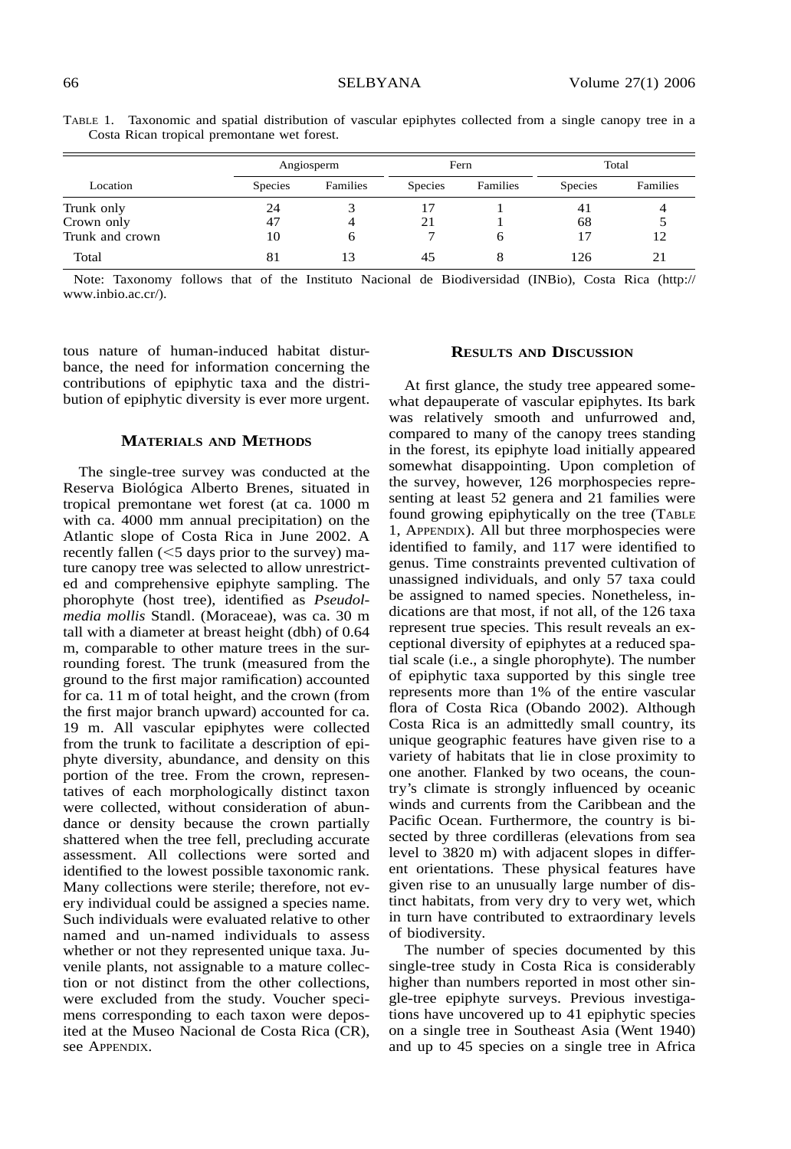|                 | Angiosperm     |          | Fern           |          | Total          |          |
|-----------------|----------------|----------|----------------|----------|----------------|----------|
| Location        | <b>Species</b> | Families | <b>Species</b> | Families | <b>Species</b> | Families |
| Trunk only      | 24             |          |                |          | 41             |          |
| Crown only      | 47             |          | 21             |          | 68             |          |
| Trunk and crown | 10             | 6        |                | 6        |                | 12       |
| Total           | 81             |          | 45             | 8        | 126            | 21       |

TABLE 1. Taxonomic and spatial distribution of vascular epiphytes collected from a single canopy tree in a Costa Rican tropical premontane wet forest.

Note: Taxonomy follows that of the Instituto Nacional de Biodiversidad (INBio), Costa Rica (http:// www.inbio.ac.cr/).

tous nature of human-induced habitat disturbance, the need for information concerning the contributions of epiphytic taxa and the distribution of epiphytic diversity is ever more urgent.

#### **MATERIALS AND METHODS**

The single-tree survey was conducted at the Reserva Biológica Alberto Brenes, situated in tropical premontane wet forest (at ca. 1000 m with ca. 4000 mm annual precipitation) on the Atlantic slope of Costa Rica in June 2002. A recently fallen  $(<$  5 days prior to the survey) mature canopy tree was selected to allow unrestricted and comprehensive epiphyte sampling. The phorophyte (host tree), identified as *Pseudolmedia mollis* Standl. (Moraceae), was ca. 30 m tall with a diameter at breast height (dbh) of 0.64 m, comparable to other mature trees in the surrounding forest. The trunk (measured from the ground to the first major ramification) accounted for ca. 11 m of total height, and the crown (from the first major branch upward) accounted for ca. 19 m. All vascular epiphytes were collected from the trunk to facilitate a description of epiphyte diversity, abundance, and density on this portion of the tree. From the crown, representatives of each morphologically distinct taxon were collected, without consideration of abundance or density because the crown partially shattered when the tree fell, precluding accurate assessment. All collections were sorted and identified to the lowest possible taxonomic rank. Many collections were sterile; therefore, not every individual could be assigned a species name. Such individuals were evaluated relative to other named and un-named individuals to assess whether or not they represented unique taxa. Juvenile plants, not assignable to a mature collection or not distinct from the other collections, were excluded from the study. Voucher specimens corresponding to each taxon were deposited at the Museo Nacional de Costa Rica (CR), see APPENDIX.

### **RESULTS AND DISCUSSION**

At first glance, the study tree appeared somewhat depauperate of vascular epiphytes. Its bark was relatively smooth and unfurrowed and, compared to many of the canopy trees standing in the forest, its epiphyte load initially appeared somewhat disappointing. Upon completion of the survey, however, 126 morphospecies representing at least 52 genera and 21 families were found growing epiphytically on the tree (TABLE 1, APPENDIX). All but three morphospecies were identified to family, and 117 were identified to genus. Time constraints prevented cultivation of unassigned individuals, and only 57 taxa could be assigned to named species. Nonetheless, indications are that most, if not all, of the 126 taxa represent true species. This result reveals an exceptional diversity of epiphytes at a reduced spatial scale (i.e., a single phorophyte). The number of epiphytic taxa supported by this single tree represents more than 1% of the entire vascular flora of Costa Rica (Obando 2002). Although Costa Rica is an admittedly small country, its unique geographic features have given rise to a variety of habitats that lie in close proximity to one another. Flanked by two oceans, the country's climate is strongly influenced by oceanic winds and currents from the Caribbean and the Pacific Ocean. Furthermore, the country is bisected by three cordilleras (elevations from sea level to 3820 m) with adjacent slopes in different orientations. These physical features have given rise to an unusually large number of distinct habitats, from very dry to very wet, which in turn have contributed to extraordinary levels of biodiversity.

The number of species documented by this single-tree study in Costa Rica is considerably higher than numbers reported in most other single-tree epiphyte surveys. Previous investigations have uncovered up to 41 epiphytic species on a single tree in Southeast Asia (Went 1940) and up to 45 species on a single tree in Africa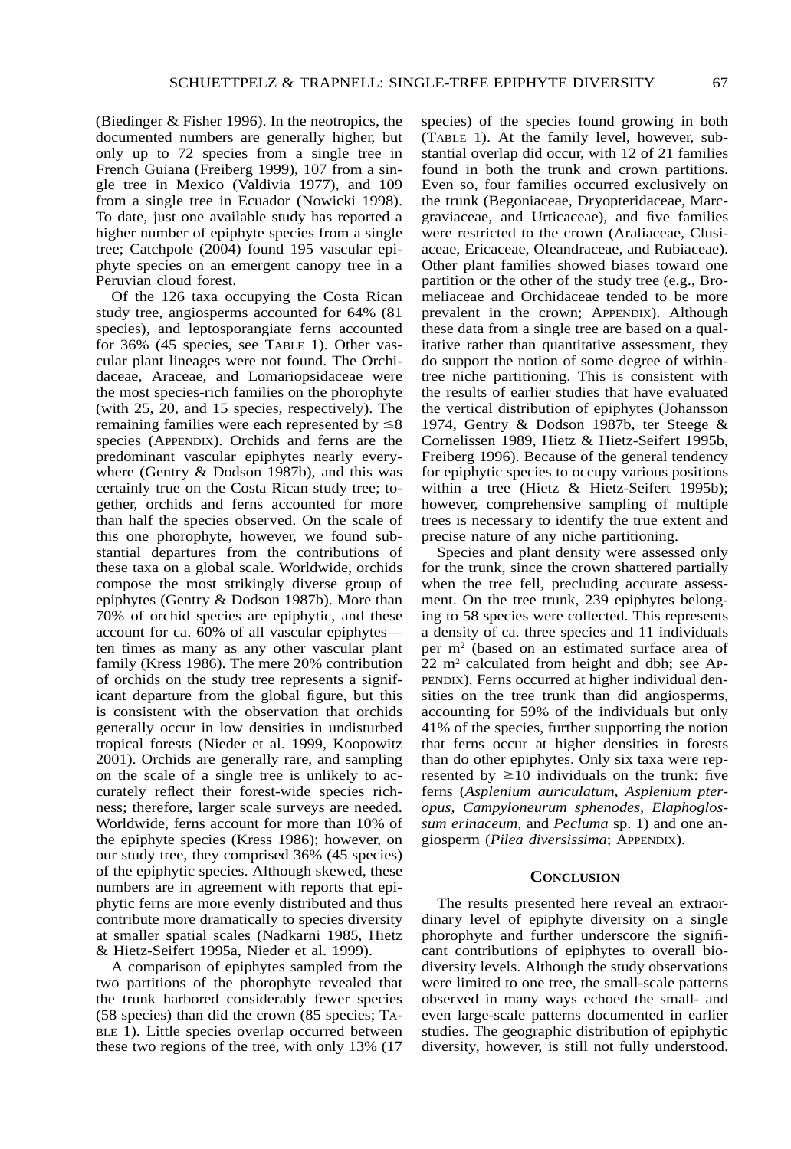(Biedinger & Fisher 1996). In the neotropics, the documented numbers are generally higher, but only up to 72 species from a single tree in French Guiana (Freiberg 1999), 107 from a single tree in Mexico (Valdivia 1977), and 109 from a single tree in Ecuador (Nowicki 1998). To date, just one available study has reported a higher number of epiphyte species from a single tree; Catchpole (2004) found 195 vascular epiphyte species on an emergent canopy tree in a Peruvian cloud forest.

Of the 126 taxa occupying the Costa Rican study tree, angiosperms accounted for 64% (81 species), and leptosporangiate ferns accounted for 36% (45 species, see TABLE 1). Other vascular plant lineages were not found. The Orchidaceae, Araceae, and Lomariopsidaceae were the most species-rich families on the phorophyte (with 25, 20, and 15 species, respectively). The remaining families were each represented by  $\leq 8$ species (APPENDIX). Orchids and ferns are the predominant vascular epiphytes nearly everywhere (Gentry & Dodson 1987b), and this was certainly true on the Costa Rican study tree; together, orchids and ferns accounted for more than half the species observed. On the scale of this one phorophyte, however, we found substantial departures from the contributions of these taxa on a global scale. Worldwide, orchids compose the most strikingly diverse group of epiphytes (Gentry & Dodson 1987b). More than 70% of orchid species are epiphytic, and these account for ca. 60% of all vascular epiphytes ten times as many as any other vascular plant family (Kress 1986). The mere 20% contribution of orchids on the study tree represents a significant departure from the global figure, but this is consistent with the observation that orchids generally occur in low densities in undisturbed tropical forests (Nieder et al. 1999, Koopowitz 2001). Orchids are generally rare, and sampling on the scale of a single tree is unlikely to accurately reflect their forest-wide species richness; therefore, larger scale surveys are needed. Worldwide, ferns account for more than 10% of the epiphyte species (Kress 1986); however, on our study tree, they comprised 36% (45 species) of the epiphytic species. Although skewed, these numbers are in agreement with reports that epiphytic ferns are more evenly distributed and thus contribute more dramatically to species diversity at smaller spatial scales (Nadkarni 1985, Hietz & Hietz-Seifert 1995a, Nieder et al. 1999).

A comparison of epiphytes sampled from the two partitions of the phorophyte revealed that the trunk harbored considerably fewer species (58 species) than did the crown (85 species; TA-BLE 1). Little species overlap occurred between these two regions of the tree, with only 13% (17

species) of the species found growing in both (TABLE 1). At the family level, however, substantial overlap did occur, with 12 of 21 families found in both the trunk and crown partitions. Even so, four families occurred exclusively on the trunk (Begoniaceae, Dryopteridaceae, Marcgraviaceae, and Urticaceae), and five families were restricted to the crown (Araliaceae, Clusiaceae, Ericaceae, Oleandraceae, and Rubiaceae). Other plant families showed biases toward one partition or the other of the study tree (e.g., Bromeliaceae and Orchidaceae tended to be more prevalent in the crown; APPENDIX). Although these data from a single tree are based on a qualitative rather than quantitative assessment, they do support the notion of some degree of withintree niche partitioning. This is consistent with the results of earlier studies that have evaluated the vertical distribution of epiphytes (Johansson 1974, Gentry & Dodson 1987b, ter Steege & Cornelissen 1989, Hietz & Hietz-Seifert 1995b, Freiberg 1996). Because of the general tendency for epiphytic species to occupy various positions within a tree (Hietz & Hietz-Seifert 1995b); however, comprehensive sampling of multiple trees is necessary to identify the true extent and precise nature of any niche partitioning.

Species and plant density were assessed only for the trunk, since the crown shattered partially when the tree fell, precluding accurate assessment. On the tree trunk, 239 epiphytes belonging to 58 species were collected. This represents a density of ca. three species and 11 individuals per m2 (based on an estimated surface area of  $22 \text{ m}^2$  calculated from height and dbh; see AP-PENDIX). Ferns occurred at higher individual densities on the tree trunk than did angiosperms, accounting for 59% of the individuals but only 41% of the species, further supporting the notion that ferns occur at higher densities in forests than do other epiphytes. Only six taxa were represented by  $\geq 10$  individuals on the trunk: five ferns (*Asplenium auriculatum, Asplenium pteropus, Campyloneurum sphenodes, Elaphoglossum erinaceum,* and *Pecluma* sp. 1) and one angiosperm (*Pilea diversissima*; APPENDIX).

#### **CONCLUSION**

The results presented here reveal an extraordinary level of epiphyte diversity on a single phorophyte and further underscore the significant contributions of epiphytes to overall biodiversity levels. Although the study observations were limited to one tree, the small-scale patterns observed in many ways echoed the small- and even large-scale patterns documented in earlier studies. The geographic distribution of epiphytic diversity, however, is still not fully understood.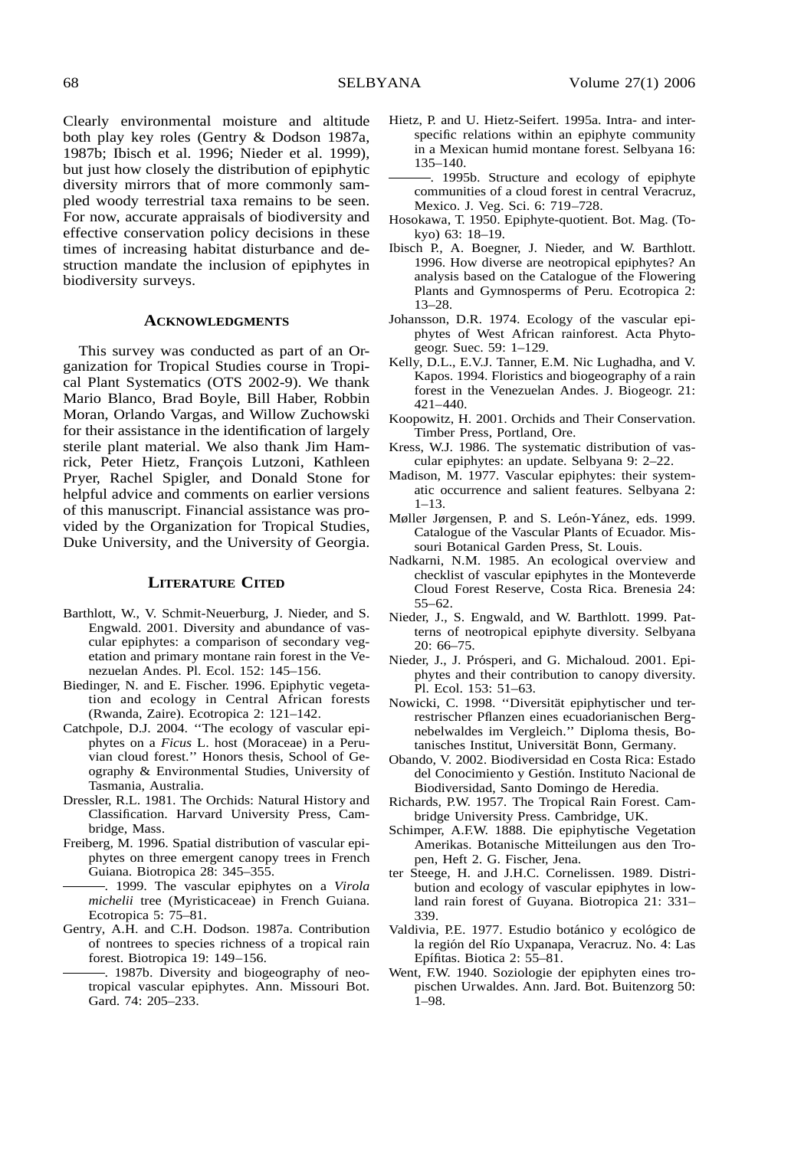Clearly environmental moisture and altitude both play key roles (Gentry & Dodson 1987a, 1987b; Ibisch et al. 1996; Nieder et al. 1999), but just how closely the distribution of epiphytic diversity mirrors that of more commonly sampled woody terrestrial taxa remains to be seen. For now, accurate appraisals of biodiversity and effective conservation policy decisions in these times of increasing habitat disturbance and destruction mandate the inclusion of epiphytes in biodiversity surveys.

#### **ACKNOWLEDGMENTS**

This survey was conducted as part of an Organization for Tropical Studies course in Tropical Plant Systematics (OTS 2002-9). We thank Mario Blanco, Brad Boyle, Bill Haber, Robbin Moran, Orlando Vargas, and Willow Zuchowski for their assistance in the identification of largely sterile plant material. We also thank Jim Hamrick, Peter Hietz, François Lutzoni, Kathleen Pryer, Rachel Spigler, and Donald Stone for helpful advice and comments on earlier versions of this manuscript. Financial assistance was provided by the Organization for Tropical Studies, Duke University, and the University of Georgia.

#### **LITERATURE CITED**

- Barthlott, W., V. Schmit-Neuerburg, J. Nieder, and S. Engwald. 2001. Diversity and abundance of vascular epiphytes: a comparison of secondary vegetation and primary montane rain forest in the Venezuelan Andes. Pl. Ecol. 152: 145–156.
- Biedinger, N. and E. Fischer. 1996. Epiphytic vegetation and ecology in Central African forests (Rwanda, Zaire). Ecotropica 2: 121–142.
- Catchpole, D.J. 2004. ''The ecology of vascular epiphytes on a *Ficus* L. host (Moraceae) in a Peruvian cloud forest.'' Honors thesis, School of Geography & Environmental Studies, University of Tasmania, Australia.
- Dressler, R.L. 1981. The Orchids: Natural History and Classification. Harvard University Press, Cambridge, Mass.
- Freiberg, M. 1996. Spatial distribution of vascular epiphytes on three emergent canopy trees in French Guiana. Biotropica 28: 345–355.
	- . 1999. The vascular epiphytes on a *Virola michelii* tree (Myristicaceae) in French Guiana. Ecotropica 5: 75–81.
- Gentry, A.H. and C.H. Dodson. 1987a. Contribution of nontrees to species richness of a tropical rain forest. Biotropica 19: 149–156.
	- . 1987b. Diversity and biogeography of neotropical vascular epiphytes. Ann. Missouri Bot. Gard. 74: 205–233.
- Hietz, P. and U. Hietz-Seifert. 1995a. Intra- and interspecific relations within an epiphyte community in a Mexican humid montane forest. Selbyana 16: 135–140.
- . 1995b. Structure and ecology of epiphyte communities of a cloud forest in central Veracruz, Mexico. J. Veg. Sci. 6: 719–728.
- Hosokawa, T. 1950. Epiphyte-quotient. Bot. Mag. (Tokyo) 63: 18–19.
- Ibisch P., A. Boegner, J. Nieder, and W. Barthlott. 1996. How diverse are neotropical epiphytes? An analysis based on the Catalogue of the Flowering Plants and Gymnosperms of Peru. Ecotropica 2: 13–28.
- Johansson, D.R. 1974. Ecology of the vascular epiphytes of West African rainforest. Acta Phytogeogr. Suec. 59: 1–129.
- Kelly, D.L., E.V.J. Tanner, E.M. Nic Lughadha, and V. Kapos. 1994. Floristics and biogeography of a rain forest in the Venezuelan Andes. J. Biogeogr. 21: 421–440.
- Koopowitz, H. 2001. Orchids and Their Conservation. Timber Press, Portland, Ore.
- Kress, W.J. 1986. The systematic distribution of vascular epiphytes: an update. Selbyana 9: 2–22.
- Madison, M. 1977. Vascular epiphytes: their systematic occurrence and salient features. Selbyana 2:  $1 - 13$ .
- Møller Jørgensen, P. and S. León-Yánez, eds. 1999. Catalogue of the Vascular Plants of Ecuador. Missouri Botanical Garden Press, St. Louis.
- Nadkarni, N.M. 1985. An ecological overview and checklist of vascular epiphytes in the Monteverde Cloud Forest Reserve, Costa Rica. Brenesia 24: 55–62.
- Nieder, J., S. Engwald, and W. Barthlott. 1999. Patterns of neotropical epiphyte diversity. Selbyana 20: 66–75.
- Nieder, J., J. Prósperi, and G. Michaloud. 2001. Epiphytes and their contribution to canopy diversity. Pl. Ecol. 153: 51–63.
- Nowicki, C. 1998. "Diversität epiphytischer und terrestrischer Pflanzen eines ecuadorianischen Bergnebelwaldes im Vergleich.'' Diploma thesis, Botanisches Institut, Universität Bonn, Germany.
- Obando, V. 2002. Biodiversidad en Costa Rica: Estado del Conocimiento y Gestión. Instituto Nacional de Biodiversidad, Santo Domingo de Heredia.
- Richards, P.W. 1957. The Tropical Rain Forest. Cambridge University Press. Cambridge, UK.
- Schimper, A.F.W. 1888. Die epiphytische Vegetation Amerikas. Botanische Mitteilungen aus den Tropen, Heft 2. G. Fischer, Jena.
- ter Steege, H. and J.H.C. Cornelissen. 1989. Distribution and ecology of vascular epiphytes in lowland rain forest of Guyana. Biotropica 21: 331– 339.
- Valdivia, P.E. 1977. Estudio botánico y ecológico de la región del Río Uxpanapa, Veracruz. No. 4: Las Epífitas. Biotica 2: 55-81.
- Went, F.W. 1940. Soziologie der epiphyten eines tropischen Urwaldes. Ann. Jard. Bot. Buitenzorg 50: 1–98.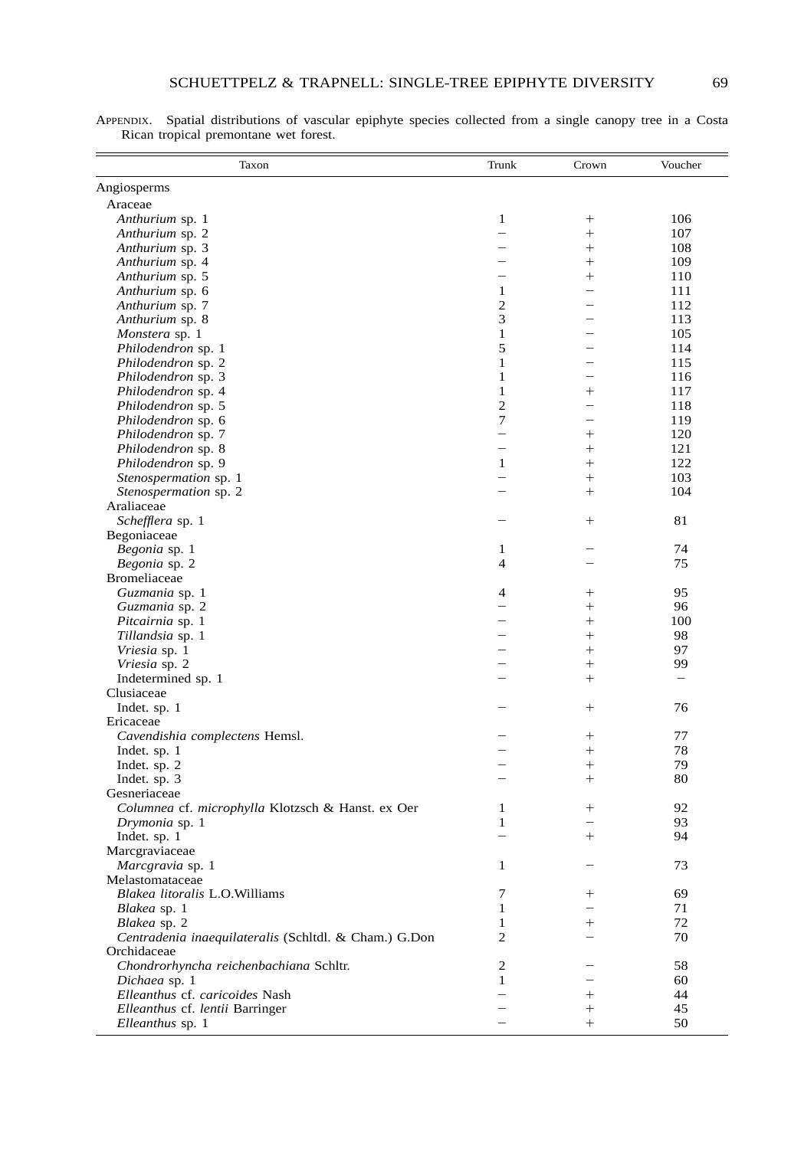| Taxon                                                 | Trunk                    | Crown                    | Voucher                  |
|-------------------------------------------------------|--------------------------|--------------------------|--------------------------|
| Angiosperms                                           |                          |                          |                          |
| Araceae                                               |                          |                          |                          |
| Anthurium sp. 1                                       | $\mathbf{1}$             | $\! + \!\!\!\!$          | 106                      |
| Anthurium sp. 2                                       | $\overline{\phantom{0}}$ | $^{+}$                   | 107                      |
| Anthurium sp. 3                                       |                          | $^{+}$                   | 108                      |
| Anthurium sp. 4                                       |                          | $^{+}$                   | 109                      |
| Anthurium sp. 5                                       |                          | $^{+}$                   | 110                      |
| Anthurium sp. 6                                       | 1                        | $\overline{\phantom{0}}$ | 111                      |
| Anthurium sp. 7                                       | $\overline{c}$           |                          | 112                      |
| Anthurium sp. 8                                       | 3                        |                          | 113                      |
| Monstera sp. 1                                        | $\mathbf{1}$             |                          | 105                      |
| Philodendron sp. 1                                    | 5                        |                          | 114                      |
| Philodendron sp. 2                                    | $\mathbf{1}$             |                          | 115                      |
| Philodendron sp. 3                                    | $\mathbf{1}$             |                          | 116                      |
| Philodendron sp. 4                                    | $\mathbf{1}$             | $^{+}$                   | 117                      |
| Philodendron sp. 5                                    | $\overline{c}$           | $\overline{\phantom{0}}$ | 118                      |
| Philodendron sp. 6                                    | $\tau$                   |                          | 119                      |
| Philodendron sp. 7                                    | $\overline{\phantom{0}}$ | $^{+}$                   | 120                      |
| Philodendron sp. 8                                    |                          | $^{+}$                   | 121                      |
| Philodendron sp. 9                                    | 1                        | $^{+}$                   | 122                      |
| Stenospermation sp. 1                                 | $\overline{\phantom{0}}$ | $^{+}$                   | 103                      |
| Stenospermation sp. 2                                 |                          | $^{+}$                   | 104                      |
| Araliaceae                                            |                          |                          |                          |
| Schefflera sp. 1                                      |                          | $^{+}$                   | 81                       |
| Begoniaceae                                           |                          |                          |                          |
| Begonia sp. 1                                         | 1                        |                          | 74                       |
| Begonia sp. 2                                         | 4                        |                          | 75                       |
| <b>Bromeliaceae</b>                                   |                          |                          |                          |
| Guzmania sp. 1                                        | 4                        | $^{+}$                   | 95                       |
| Guzmania sp. 2                                        |                          | $^{+}$                   | 96                       |
| Pitcairnia sp. 1                                      |                          | $^{+}$                   | 100                      |
| Tillandsia sp. 1                                      |                          | $^{+}$                   | 98                       |
| Vriesia sp. 1                                         |                          | $^{+}$                   | 97                       |
| Vriesia sp. 2                                         |                          | $^{+}$                   | 99                       |
| Indetermined sp. 1                                    |                          | $^{+}$                   | $\overline{\phantom{0}}$ |
| Clusiaceae                                            |                          |                          |                          |
| Indet. sp. 1                                          |                          | $^{+}$                   | 76                       |
| Ericaceae                                             |                          |                          |                          |
| Cavendishia complectens Hemsl.                        |                          | $^{+}$                   | 77                       |
| Indet. sp. 1                                          |                          | $^{+}$                   | 78                       |
| Indet. sp. 2                                          |                          | $^{+}$                   | 79                       |
| Indet. sp. 3                                          |                          | $^{+}$                   | 80                       |
| Gesneriaceae                                          |                          |                          |                          |
| Columnea cf. microphylla Klotzsch & Hanst. ex Oer     | 1                        | $^{+}$                   | 92                       |
| Drymonia sp. 1                                        | $\mathbf{1}$             |                          | 93                       |
| Indet. sp. 1                                          |                          | $^{+}$                   | 94                       |
| Marcgraviaceae                                        |                          |                          |                          |
| Marcgravia sp. 1                                      | 1                        |                          | 73                       |
| Melastomataceae                                       |                          |                          |                          |
| Blakea litoralis L.O. Williams                        | 7                        | $^+$                     | 69                       |
| Blakea sp. 1                                          | $\mathbf{1}$             |                          | 71                       |
| Blakea sp. 2                                          | $\mathbf{1}$             | $^{+}$                   | 72                       |
| Centradenia inaequilateralis (Schltdl. & Cham.) G.Don | 2                        |                          | 70                       |
| Orchidaceae                                           |                          |                          |                          |
| Chondrorhyncha reichenbachiana Schltr.                | 2                        |                          | 58                       |
| Dichaea sp. 1                                         | 1                        |                          | 60                       |
| Elleanthus cf. caricoides Nash                        | $\overline{\phantom{0}}$ | $^{+}$                   | 44                       |
| Elleanthus cf. lentii Barringer                       |                          | $^{+}$                   | 45                       |
| Elleanthus sp. 1                                      |                          | $^{+}$                   | 50                       |

APPENDIX. Spatial distributions of vascular epiphyte species collected from a single canopy tree in a Costa Rican tropical premontane wet forest.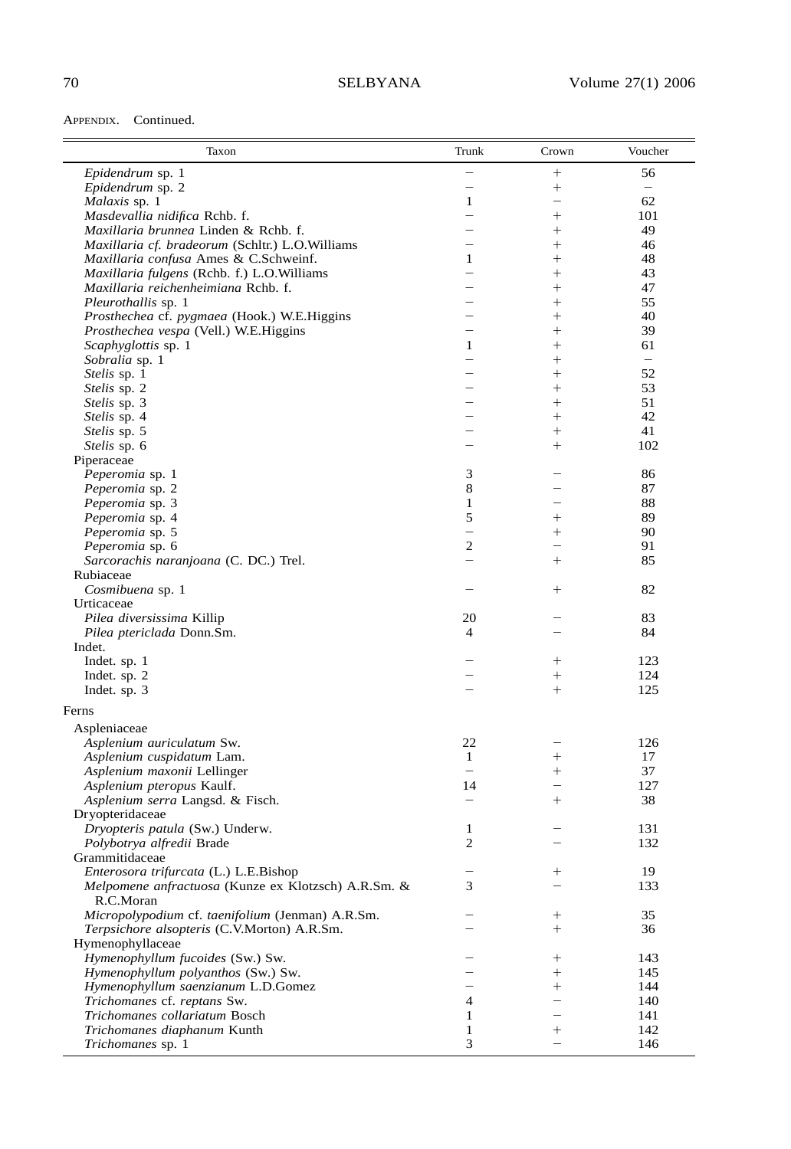APPENDIX. Continued.

| Taxon                                                                                           | Trunk                                                | Crown                    | Voucher                  |
|-------------------------------------------------------------------------------------------------|------------------------------------------------------|--------------------------|--------------------------|
| Epidendrum sp. 1                                                                                | $\overline{\phantom{0}}$                             | $^{+}$                   | 56                       |
| Epidendrum sp. 2                                                                                | $\overline{\phantom{0}}$                             | $^{+}$                   | $\overline{\phantom{0}}$ |
| Malaxis sp. 1                                                                                   | $\mathbf{1}$                                         | $\overline{\phantom{0}}$ | 62                       |
| Masdevallia nidifica Rchb. f.                                                                   | $\overline{\phantom{0}}$                             | $^{+}$                   | 101                      |
| Maxillaria brunnea Linden & Rchb. f.                                                            | $\overline{\phantom{0}}$<br>$\overline{\phantom{a}}$ | $^{+}$                   | 49                       |
| Maxillaria cf. bradeorum (Schltr.) L.O.Williams                                                 | $\mathbf{1}$                                         | $^{+}$<br>$^{+}$         | 46<br>48                 |
| Maxillaria confusa Ames & C.Schweinf.<br>Maxillaria fulgens (Rchb. f.) L.O.Williams             | $\overline{\phantom{0}}$                             | $^{+}$                   | 43                       |
| Maxillaria reichenheimiana Rchb. f.                                                             |                                                      | $^{+}$                   | 47                       |
| Pleurothallis sp. 1                                                                             |                                                      | $^{+}$                   | 55                       |
| Prosthechea cf. pygmaea (Hook.) W.E.Higgins                                                     | $\overline{\phantom{0}}$                             | $^{+}$                   | 40                       |
| Prosthechea vespa (Vell.) W.E.Higgins                                                           |                                                      | $^{+}$                   | 39                       |
| Scaphyglottis sp. 1                                                                             | $\mathbf{1}$                                         | $^{+}$                   | 61                       |
| Sobralia sp. 1                                                                                  | $\overline{\phantom{0}}$                             | $^{+}$                   | $\overline{\phantom{0}}$ |
| Stelis sp. 1                                                                                    |                                                      | $^{+}$                   | 52                       |
| Stelis sp. 2                                                                                    |                                                      | $^{+}$                   | 53                       |
| Stelis sp. 3                                                                                    |                                                      | $^{+}$                   | 51                       |
| Stelis sp. 4                                                                                    |                                                      | $^{+}$                   | 42                       |
| Stelis sp. 5<br>Stelis sp. 6                                                                    |                                                      | $^{+}$<br>$^{+}$         | 41<br>102                |
| Piperaceae                                                                                      |                                                      |                          |                          |
| Peperomia sp. 1                                                                                 | 3                                                    |                          | 86                       |
| Peperomia sp. 2                                                                                 | 8                                                    |                          | 87                       |
| Peperomia sp. 3                                                                                 | $\mathbf{1}$                                         |                          | 88                       |
| Peperomia sp. 4                                                                                 | 5                                                    | $^{+}$                   | 89                       |
| Peperomia sp. 5                                                                                 | $\overline{\phantom{0}}$                             | $^{+}$                   | 90                       |
| Peperomia sp. 6                                                                                 | $\mathfrak{2}$                                       |                          | 91                       |
| Sarcorachis naranjoana (C. DC.) Trel.                                                           | $\overline{\phantom{0}}$                             | $^{+}$                   | 85                       |
| Rubiaceae                                                                                       |                                                      |                          |                          |
| Cosmibuena sp. 1                                                                                |                                                      | $^{+}$                   | 82                       |
| Urticaceae                                                                                      |                                                      |                          |                          |
| Pilea diversissima Killip                                                                       | 20                                                   |                          | 83                       |
| Pilea ptericlada Donn.Sm.<br>Indet.                                                             | $\overline{4}$                                       |                          | 84                       |
| Indet. sp. 1                                                                                    |                                                      | $^{+}$                   | 123                      |
| Indet. sp. 2                                                                                    |                                                      | $^{+}$                   | 124                      |
| Indet. sp. 3                                                                                    |                                                      | $^{+}$                   | 125                      |
| Ferns                                                                                           |                                                      |                          |                          |
|                                                                                                 |                                                      |                          |                          |
| Aspleniaceae<br>Asplenium auriculatum Sw.                                                       | 22                                                   |                          | 126                      |
| Asplenium cuspidatum Lam.                                                                       | 1                                                    | $^{+}$                   | 17                       |
| Asplenium maxonii Lellinger                                                                     | $\overline{\phantom{0}}$                             | $^{+}$                   | 37                       |
| Asplenium pteropus Kaulf.                                                                       | 14                                                   |                          | 127                      |
| Asplenium serra Langsd. & Fisch.                                                                | $\overline{\phantom{0}}$                             | $^{+}$                   | 38                       |
| Dryopteridaceae                                                                                 |                                                      |                          |                          |
| Dryopteris patula (Sw.) Underw.                                                                 | 1                                                    |                          | 131                      |
| Polybotrya alfredii Brade                                                                       | $\mathbf{2}$                                         |                          | 132                      |
| Grammitidaceae                                                                                  |                                                      |                          |                          |
| Enterosora trifurcata (L.) L.E.Bishop                                                           |                                                      | $^+$                     | 19                       |
| Melpomene anfractuosa (Kunze ex Klotzsch) A.R.Sm. &                                             | 3                                                    |                          | 133                      |
| R.C.Moran                                                                                       |                                                      |                          |                          |
| Micropolypodium cf. taenifolium (Jenman) A.R.Sm.<br>Terpsichore alsopteris (C.V.Morton) A.R.Sm. |                                                      | $^{+}$<br>$^{+}$         | 35<br>36                 |
| Hymenophyllaceae                                                                                |                                                      |                          |                          |
| Hymenophyllum fucoides (Sw.) Sw.                                                                |                                                      | $^+$                     | 143                      |
| Hymenophyllum polyanthos (Sw.) Sw.                                                              |                                                      | $^{+}$                   | 145                      |
| Hymenophyllum saenzianum L.D.Gomez                                                              |                                                      | $^{+}$                   | 144                      |
| Trichomanes cf. reptans Sw.                                                                     | 4                                                    |                          | 140                      |
| Trichomanes collariatum Bosch                                                                   | 1                                                    |                          | 141                      |
| Trichomanes diaphanum Kunth                                                                     | 1                                                    | $^+$                     | 142                      |
| Trichomanes sp. 1                                                                               | 3                                                    | $\overline{\phantom{0}}$ | 146                      |
|                                                                                                 |                                                      |                          |                          |